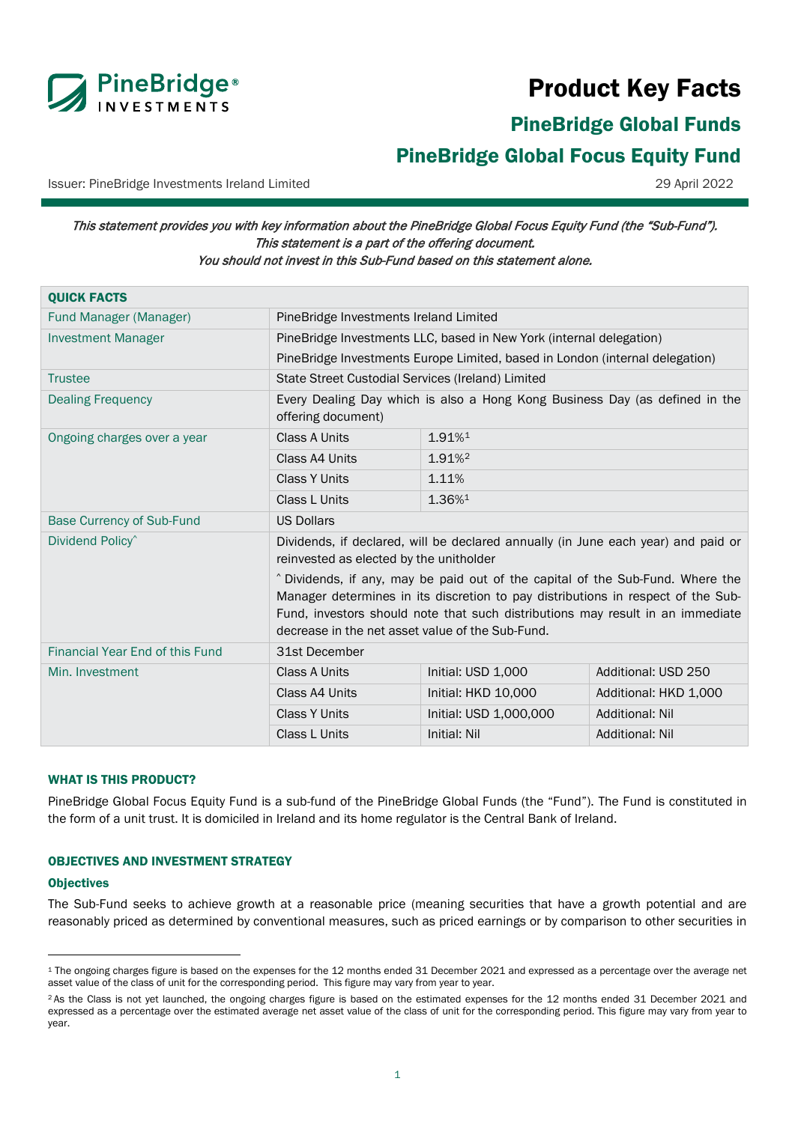

# Product Key Facts

PineBridge Global Funds

# <span id="page-0-0"></span>PineBridge Global Focus Equity Fund

Issuer: PineBridge Investments Ireland Limited 29 April 2022

This statement provides you with key information about the PineBridge Global Focus Equity Fund (the "Sub-Fund"). This statement is a part of the offering document. You should not invest in this Sub-Fund based on this statement alone.

| <b>QUICK FACTS</b>               |                                                                                                                                                                                                                                                                                                          |                                                                     |                        |  |
|----------------------------------|----------------------------------------------------------------------------------------------------------------------------------------------------------------------------------------------------------------------------------------------------------------------------------------------------------|---------------------------------------------------------------------|------------------------|--|
| Fund Manager (Manager)           | PineBridge Investments Ireland Limited                                                                                                                                                                                                                                                                   |                                                                     |                        |  |
| <b>Investment Manager</b>        |                                                                                                                                                                                                                                                                                                          | PineBridge Investments LLC, based in New York (internal delegation) |                        |  |
|                                  | PineBridge Investments Europe Limited, based in London (internal delegation)                                                                                                                                                                                                                             |                                                                     |                        |  |
| <b>Trustee</b>                   | State Street Custodial Services (Ireland) Limited                                                                                                                                                                                                                                                        |                                                                     |                        |  |
| <b>Dealing Frequency</b>         | Every Dealing Day which is also a Hong Kong Business Day (as defined in the<br>offering document)                                                                                                                                                                                                        |                                                                     |                        |  |
| Ongoing charges over a year      | <b>Class A Units</b>                                                                                                                                                                                                                                                                                     | 1.91%1                                                              |                        |  |
|                                  | Class A4 Units                                                                                                                                                                                                                                                                                           | 1.91%                                                               |                        |  |
|                                  | <b>Class Y Units</b>                                                                                                                                                                                                                                                                                     | 1.11%                                                               |                        |  |
|                                  | Class L Units                                                                                                                                                                                                                                                                                            | 1.36%1                                                              |                        |  |
| <b>Base Currency of Sub-Fund</b> | <b>US Dollars</b>                                                                                                                                                                                                                                                                                        |                                                                     |                        |  |
| Dividend Policy <sup>^</sup>     | Dividends, if declared, will be declared annually (in June each year) and paid or<br>reinvested as elected by the unitholder                                                                                                                                                                             |                                                                     |                        |  |
|                                  | ^ Dividends, if any, may be paid out of the capital of the Sub-Fund. Where the<br>Manager determines in its discretion to pay distributions in respect of the Sub-<br>Fund, investors should note that such distributions may result in an immediate<br>decrease in the net asset value of the Sub-Fund. |                                                                     |                        |  |
| Financial Year End of this Fund  | 31st December                                                                                                                                                                                                                                                                                            |                                                                     |                        |  |
| Min. Investment                  | Class A Units                                                                                                                                                                                                                                                                                            | Initial: USD 1,000                                                  | Additional: USD 250    |  |
|                                  | Class A4 Units                                                                                                                                                                                                                                                                                           | Initial: HKD 10,000                                                 | Additional: HKD 1,000  |  |
|                                  | <b>Class Y Units</b>                                                                                                                                                                                                                                                                                     | Initial: USD 1,000,000                                              | <b>Additional: Nil</b> |  |
|                                  | Class L Units                                                                                                                                                                                                                                                                                            | Initial: Nil                                                        | <b>Additional: Nil</b> |  |

# WHAT IS THIS PRODUCT?

PineBridge Global Focus Equity Fund is a sub-fund of the PineBridge Global Funds (the "Fund"). The Fund is constituted in the form of a unit trust. It is domiciled in Ireland and its home regulator is the Central Bank of Ireland.

# OBJECTIVES AND INVESTMENT STRATEGY

#### **Objectives**

The Sub-Fund seeks to achieve growth at a reasonable price (meaning securities that have a growth potential and are reasonably priced as determined by conventional measures, such as priced earnings or by comparison to other securities in

<span id="page-0-1"></span><sup>&</sup>lt;sup>1</sup> The ongoing charges figure is based on the expenses for the 12 months ended 31 December 2021 and expressed as a percentage over the average net asset value of the class of unit for the corresponding period. This figure may vary from year to year.

<span id="page-0-2"></span><sup>&</sup>lt;sup>2</sup> As the Class is not yet launched, the ongoing charges figure is based on the estimated expenses for the 12 months ended 31 December 2021 and expressed as a percentage over the estimated average net asset value of the class of unit for the corresponding period. This figure may vary from year to year.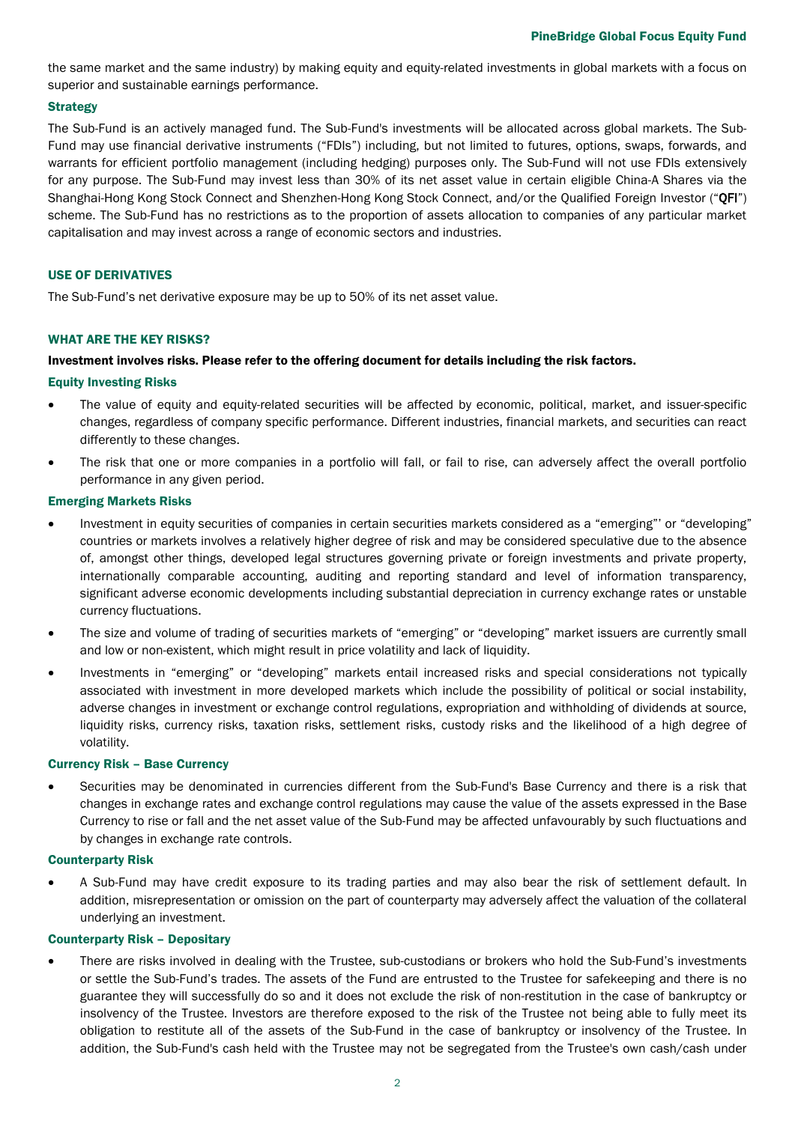the same market and the same industry) by making equity and equity-related investments in global markets with a focus on superior and sustainable earnings performance.

# **Strategy**

The Sub-Fund is an actively managed fund. The Sub-Fund's investments will be allocated across global markets. The Sub-Fund may use financial derivative instruments ("FDIs") including, but not limited to futures, options, swaps, forwards, and warrants for efficient portfolio management (including hedging) purposes only. The Sub-Fund will not use FDIs extensively for any purpose. The Sub-Fund may invest less than 30% of its net asset value in certain eligible China-A Shares via the Shanghai-Hong Kong Stock Connect and Shenzhen-Hong Kong Stock Connect, and/or the Qualified Foreign Investor ("QFI") scheme. The Sub-Fund has no restrictions as to the proportion of assets allocation to companies of any particular market capitalisation and may invest across a range of economic sectors and industries.

# USE OF DERIVATIVES

The Sub-Fund's net derivative exposure may be up to 50% of its net asset value.

# WHAT ARE THE KEY RISKS?

# Investment involves risks. Please refer to the offering document for details including the risk factors.

#### Equity Investing Risks

- The value of equity and equity-related securities will be affected by economic, political, market, and issuer-specific changes, regardless of company specific performance. Different industries, financial markets, and securities can react differently to these changes.
- The risk that one or more companies in a portfolio will fall, or fail to rise, can adversely affect the overall portfolio performance in any given period.

#### Emerging Markets Risks

- Investment in equity securities of companies in certain securities markets considered as a "emerging"' or "developing" countries or markets involves a relatively higher degree of risk and may be considered speculative due to the absence of, amongst other things, developed legal structures governing private or foreign investments and private property, internationally comparable accounting, auditing and reporting standard and level of information transparency, significant adverse economic developments including substantial depreciation in currency exchange rates or unstable currency fluctuations.
- The size and volume of trading of securities markets of "emerging" or "developing" market issuers are currently small and low or non-existent, which might result in price volatility and lack of liquidity.
- Investments in "emerging" or "developing" markets entail increased risks and special considerations not typically associated with investment in more developed markets which include the possibility of political or social instability, adverse changes in investment or exchange control regulations, expropriation and withholding of dividends at source, liquidity risks, currency risks, taxation risks, settlement risks, custody risks and the likelihood of a high degree of volatility.

#### Currency Risk – Base Currency

• Securities may be denominated in currencies different from the Sub-Fund's Base Currency and there is a risk that changes in exchange rates and exchange control regulations may cause the value of the assets expressed in the Base Currency to rise or fall and the net asset value of the Sub-Fund may be affected unfavourably by such fluctuations and by changes in exchange rate controls.

#### Counterparty Risk

• A Sub-Fund may have credit exposure to its trading parties and may also bear the risk of settlement default. In addition, misrepresentation or omission on the part of counterparty may adversely affect the valuation of the collateral underlying an investment.

#### Counterparty Risk – Depositary

• There are risks involved in dealing with the Trustee, sub-custodians or brokers who hold the Sub-Fund's investments or settle the Sub-Fund's trades. The assets of the Fund are entrusted to the Trustee for safekeeping and there is no guarantee they will successfully do so and it does not exclude the risk of non-restitution in the case of bankruptcy or insolvency of the Trustee. Investors are therefore exposed to the risk of the Trustee not being able to fully meet its obligation to restitute all of the assets of the Sub-Fund in the case of bankruptcy or insolvency of the Trustee. In addition, the Sub-Fund's cash held with the Trustee may not be segregated from the Trustee's own cash/cash under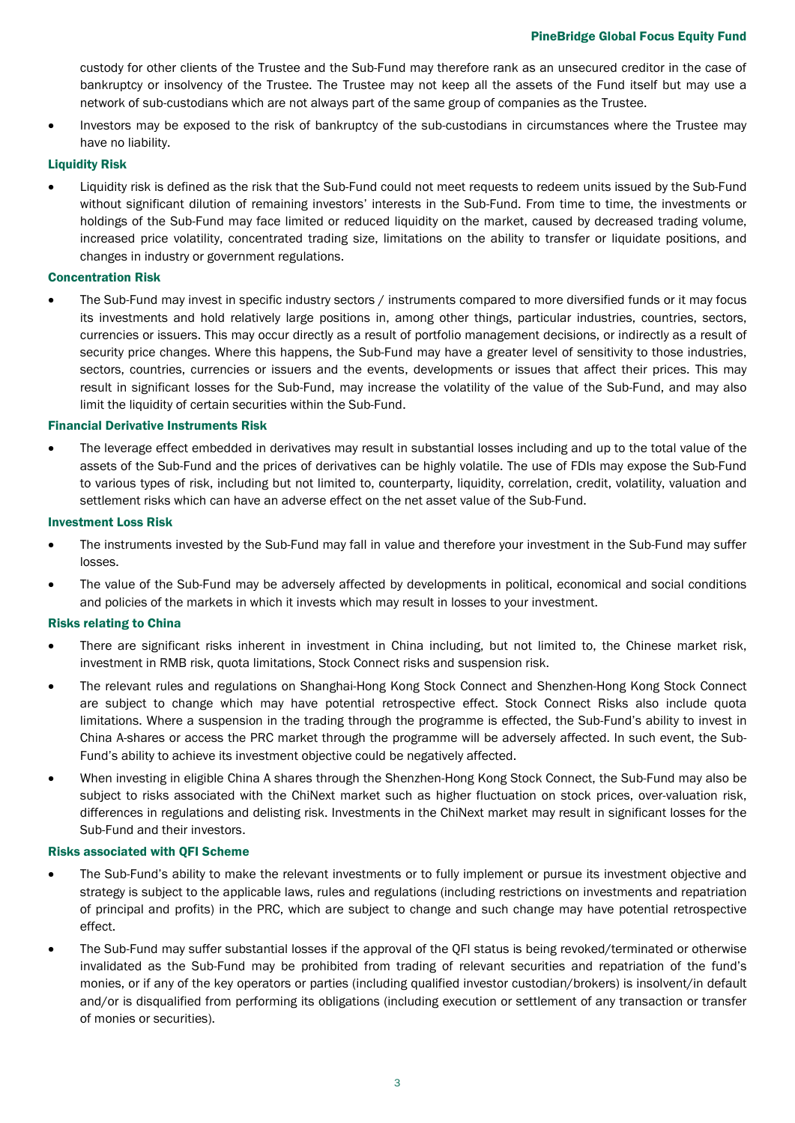custody for other clients of the Trustee and the Sub-Fund may therefore rank as an unsecured creditor in the case of bankruptcy or insolvency of the Trustee. The Trustee may not keep all the assets of the Fund itself but may use a network of sub-custodians which are not always part of the same group of companies as the Trustee.

• Investors may be exposed to the risk of bankruptcy of the sub-custodians in circumstances where the Trustee may have no liability.

# Liquidity Risk

• Liquidity risk is defined as the risk that the Sub-Fund could not meet requests to redeem units issued by the Sub-Fund without significant dilution of remaining investors' interests in the Sub-Fund. From time to time, the investments or holdings of the Sub-Fund may face limited or reduced liquidity on the market, caused by decreased trading volume, increased price volatility, concentrated trading size, limitations on the ability to transfer or liquidate positions, and changes in industry or government regulations.

# Concentration Risk

The Sub-Fund may invest in specific industry sectors / instruments compared to more diversified funds or it may focus its investments and hold relatively large positions in, among other things, particular industries, countries, sectors, currencies or issuers. This may occur directly as a result of portfolio management decisions, or indirectly as a result of security price changes. Where this happens, the Sub-Fund may have a greater level of sensitivity to those industries, sectors, countries, currencies or issuers and the events, developments or issues that affect their prices. This may result in significant losses for the Sub-Fund, may increase the volatility of the value of the Sub-Fund, and may also limit the liquidity of certain securities within the Sub-Fund.

# Financial Derivative Instruments Risk

• The leverage effect embedded in derivatives may result in substantial losses including and up to the total value of the assets of the Sub-Fund and the prices of derivatives can be highly volatile. The use of FDIs may expose the Sub-Fund to various types of risk, including but not limited to, counterparty, liquidity, correlation, credit, volatility, valuation and settlement risks which can have an adverse effect on the net asset value of the Sub-Fund.

# Investment Loss Risk

- The instruments invested by the Sub-Fund may fall in value and therefore your investment in the Sub-Fund may suffer losses.
- The value of the Sub-Fund may be adversely affected by developments in political, economical and social conditions and policies of the markets in which it invests which may result in losses to your investment.

# Risks relating to China

- There are significant risks inherent in investment in China including, but not limited to, the Chinese market risk, investment in RMB risk, quota limitations, Stock Connect risks and suspension risk.
- The relevant rules and regulations on Shanghai-Hong Kong Stock Connect and Shenzhen-Hong Kong Stock Connect are subject to change which may have potential retrospective effect. Stock Connect Risks also include quota limitations. Where a suspension in the trading through the programme is effected, the Sub-Fund's ability to invest in China A-shares or access the PRC market through the programme will be adversely affected. In such event, the Sub-Fund's ability to achieve its investment objective could be negatively affected.
- When investing in eligible China A shares through the Shenzhen-Hong Kong Stock Connect, the Sub-Fund may also be subject to risks associated with the ChiNext market such as higher fluctuation on stock prices, over-valuation risk, differences in regulations and delisting risk. Investments in the ChiNext market may result in significant losses for the Sub-Fund and their investors.

# Risks associated with QFI Scheme

- The Sub-Fund's ability to make the relevant investments or to fully implement or pursue its investment objective and strategy is subject to the applicable laws, rules and regulations (including restrictions on investments and repatriation of principal and profits) in the PRC, which are subject to change and such change may have potential retrospective effect.
- The Sub-Fund may suffer substantial losses if the approval of the QFI status is being revoked/terminated or otherwise invalidated as the Sub-Fund may be prohibited from trading of relevant securities and repatriation of the fund's monies, or if any of the key operators or parties (including qualified investor custodian/brokers) is insolvent/in default and/or is disqualified from performing its obligations (including execution or settlement of any transaction or transfer of monies or securities).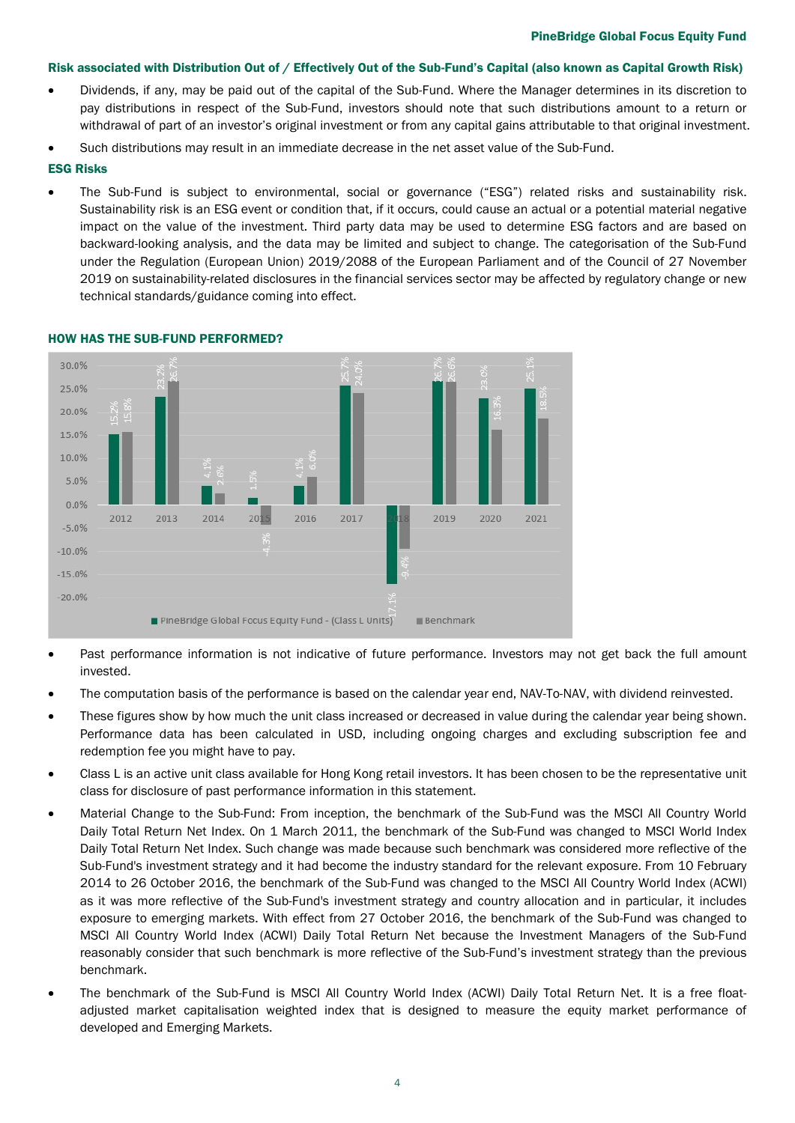# Risk associated with Distribution Out of / Effectively Out of the Sub-Fund's Capital (also known as Capital Growth Risk)

- Dividends, if any, may be paid out of the capital of the Sub-Fund. Where the Manager determines in its discretion to pay distributions in respect of the Sub-Fund, investors should note that such distributions amount to a return or withdrawal of part of an investor's original investment or from any capital gains attributable to that original investment.
- Such distributions may result in an immediate decrease in the net asset value of the Sub-Fund.

# ESG Risks

• The Sub-Fund is subject to environmental, social or governance ("ESG") related risks and sustainability risk. Sustainability risk is an ESG event or condition that, if it occurs, could cause an actual or a potential material negative impact on the value of the investment. Third party data may be used to determine ESG factors and are based on backward-looking analysis, and the data may be limited and subject to change. The categorisation of the Sub-Fund under the Regulation (European Union) 2019/2088 of the European Parliament and of the Council of 27 November 2019 on sustainability-related disclosures in the financial services sector may be affected by regulatory change or new technical standards/guidance coming into effect.



# HOW HAS THE SUB-FUND PERFORMED?

- Past performance information is not indicative of future performance. Investors may not get back the full amount invested.
- The computation basis of the performance is based on the calendar year end, NAV-To-NAV, with dividend reinvested.
- These figures show by how much the unit class increased or decreased in value during the calendar year being shown. Performance data has been calculated in USD, including ongoing charges and excluding subscription fee and redemption fee you might have to pay.
- Class L is an active unit class available for Hong Kong retail investors. It has been chosen to be the representative unit class for disclosure of past performance information in this statement.
- Material Change to the Sub-Fund: From inception, the benchmark of the Sub-Fund was the MSCI All Country World Daily Total Return Net Index. On 1 March 2011, the benchmark of the Sub-Fund was changed to MSCI World Index Daily Total Return Net Index. Such change was made because such benchmark was considered more reflective of the Sub-Fund's investment strategy and it had become the industry standard for the relevant exposure. From 10 February 2014 to 26 October 2016, the benchmark of the Sub-Fund was changed to the MSCI All Country World Index (ACWI) as it was more reflective of the Sub-Fund's investment strategy and country allocation and in particular, it includes exposure to emerging markets. With effect from 27 October 2016, the benchmark of the Sub-Fund was changed to MSCI All Country World Index (ACWI) Daily Total Return Net because the Investment Managers of the Sub-Fund reasonably consider that such benchmark is more reflective of the Sub-Fund's investment strategy than the previous benchmark.
- The benchmark of the Sub-Fund is MSCI All Country World Index (ACWI) Daily Total Return Net. It is a free floatadjusted market capitalisation weighted index that is designed to measure the equity market performance of developed and Emerging Markets.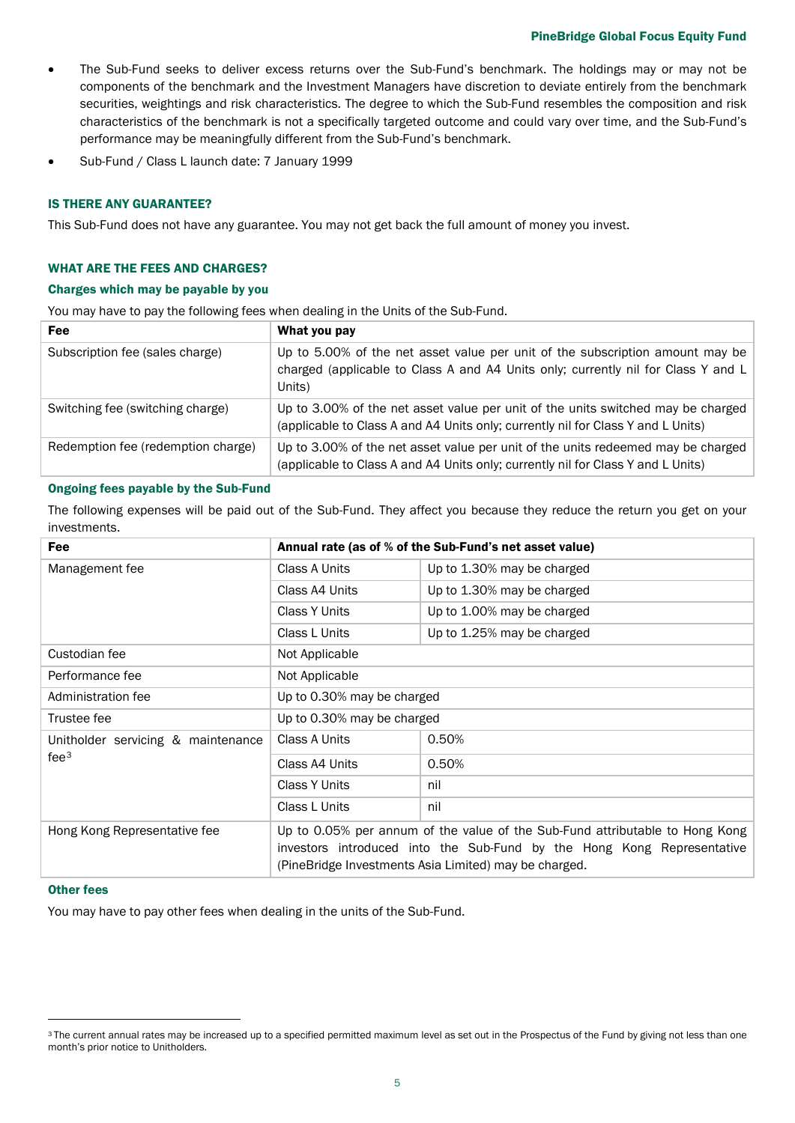## PineBridge Global Focus Equity Fund

- The Sub-Fund seeks to deliver excess returns over the Sub-Fund's benchmark. The holdings may or may not be components of the benchmark and the Investment Managers have discretion to deviate entirely from the benchmark securities, weightings and risk characteristics. The degree to which the Sub-Fund resembles the composition and risk characteristics of the benchmark is not a specifically targeted outcome and could vary over time, and the Sub-Fund's performance may be meaningfully different from the Sub-Fund's benchmark.
- Sub-Fund / Class L launch date: 7 January 1999

# IS THERE ANY GUARANTEE?

This Sub-Fund does not have any guarantee. You may not get back the full amount of money you invest.

# WHAT ARE THE FEES AND CHARGES?

#### Charges which may be payable by you

You may have to pay the following fees when dealing in the Units of the Sub-Fund.

| Fee                                | What you pay                                                                                                                                                                 |
|------------------------------------|------------------------------------------------------------------------------------------------------------------------------------------------------------------------------|
| Subscription fee (sales charge)    | Up to 5.00% of the net asset value per unit of the subscription amount may be<br>charged (applicable to Class A and A4 Units only; currently nil for Class Y and L<br>Units) |
| Switching fee (switching charge)   | Up to 3.00% of the net asset value per unit of the units switched may be charged<br>(applicable to Class A and A4 Units only; currently nil for Class Y and L Units)         |
| Redemption fee (redemption charge) | Up to 3.00% of the net asset value per unit of the units redeemed may be charged<br>(applicable to Class A and A4 Units only; currently nil for Class Y and L Units)         |

# Ongoing fees payable by the Sub-Fund

The following expenses will be paid out of the Sub-Fund. They affect you because they reduce the return you get on your investments.

| Fee                                                    | Annual rate (as of % of the Sub-Fund's net asset value)                                                                                                                                                         |                            |  |
|--------------------------------------------------------|-----------------------------------------------------------------------------------------------------------------------------------------------------------------------------------------------------------------|----------------------------|--|
| Management fee                                         | Class A Units                                                                                                                                                                                                   | Up to 1.30% may be charged |  |
|                                                        | Class A4 Units                                                                                                                                                                                                  | Up to 1.30% may be charged |  |
|                                                        | <b>Class Y Units</b>                                                                                                                                                                                            | Up to 1.00% may be charged |  |
|                                                        | Class L Units                                                                                                                                                                                                   | Up to 1.25% may be charged |  |
| Custodian fee                                          | Not Applicable                                                                                                                                                                                                  |                            |  |
| Performance fee                                        | Not Applicable                                                                                                                                                                                                  |                            |  |
| Administration fee                                     | Up to 0.30% may be charged                                                                                                                                                                                      |                            |  |
| Trustee fee                                            | Up to 0.30% may be charged                                                                                                                                                                                      |                            |  |
| Unitholder servicing & maintenance<br>fee <sup>3</sup> | Class A Units                                                                                                                                                                                                   | 0.50%                      |  |
|                                                        | Class A4 Units                                                                                                                                                                                                  | 0.50%                      |  |
|                                                        | Class Y Units                                                                                                                                                                                                   | nil                        |  |
|                                                        | Class L Units                                                                                                                                                                                                   | nil                        |  |
| Hong Kong Representative fee                           | Up to 0.05% per annum of the value of the Sub-Fund attributable to Hong Kong<br>investors introduced into the Sub-Fund by the Hong Kong Representative<br>(PineBridge Investments Asia Limited) may be charged. |                            |  |

#### Other fees

You may have to pay other fees when dealing in the units of the Sub-Fund.

<span id="page-4-0"></span><sup>&</sup>lt;sup>3</sup> The current annual rates may be increased up to a specified permitted maximum level as set out in the Prospectus of the Fund by giving not less than one month's prior notice to Unitholders.